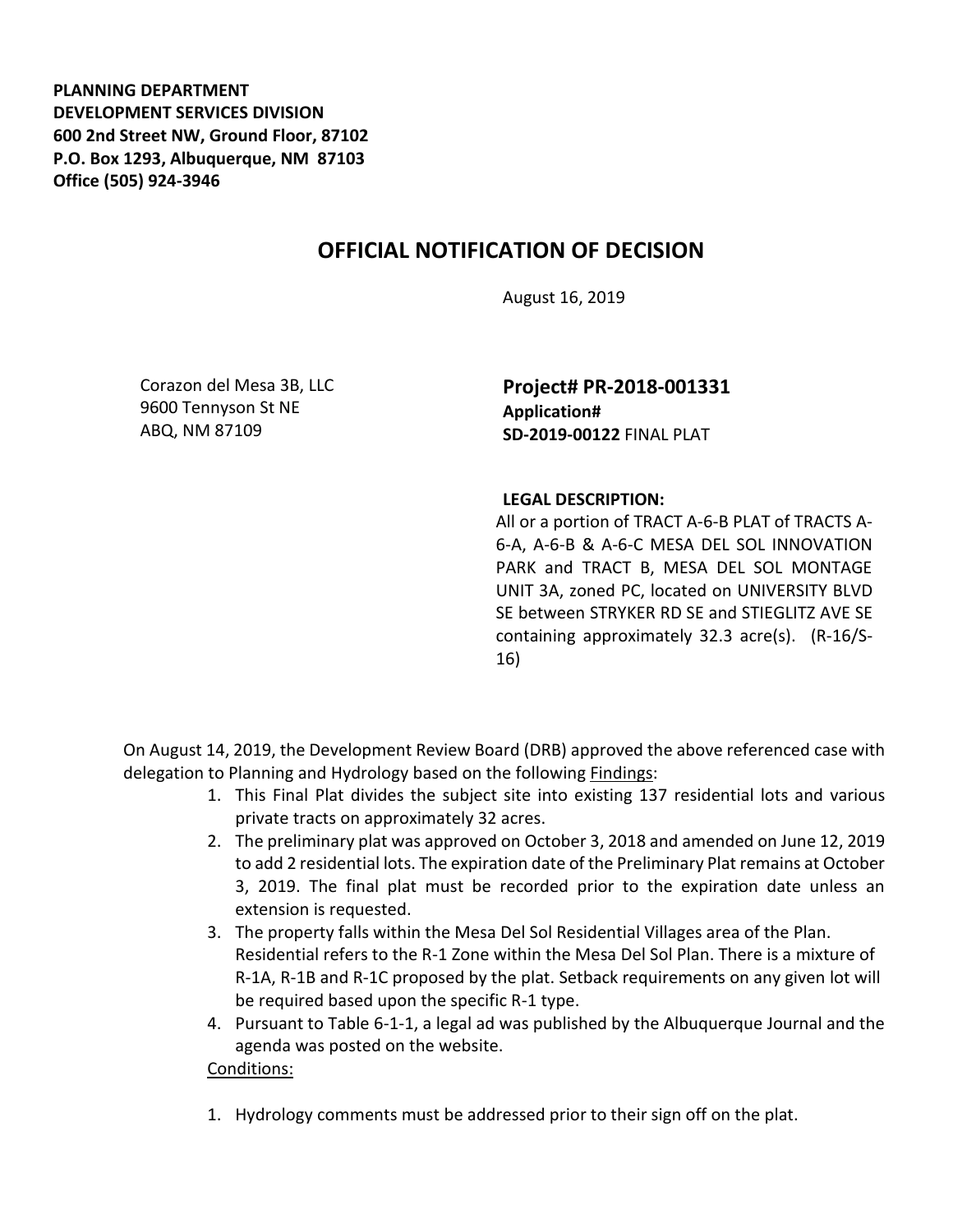**PLANNING DEPARTMENT DEVELOPMENT SERVICES DIVISION 600 2nd Street NW, Ground Floor, 87102 P.O. Box 1293, Albuquerque, NM 87103 Office (505) 924-3946** 

## **OFFICIAL NOTIFICATION OF DECISION**

August 16, 2019

Corazon del Mesa 3B, LLC 9600 Tennyson St NE ABQ, NM 87109

**Project# PR-2018-001331 Application# SD-2019-00122** FINAL PLAT

## **LEGAL DESCRIPTION:**

All or a portion of TRACT A-6-B PLAT of TRACTS A-6-A, A-6-B & A-6-C MESA DEL SOL INNOVATION PARK and TRACT B, MESA DEL SOL MONTAGE UNIT 3A, zoned PC, located on UNIVERSITY BLVD SE between STRYKER RD SE and STIEGLITZ AVE SE containing approximately 32.3 acre(s). (R-16/S-16)

On August 14, 2019, the Development Review Board (DRB) approved the above referenced case with delegation to Planning and Hydrology based on the following Findings:

- 1. This Final Plat divides the subject site into existing 137 residential lots and various private tracts on approximately 32 acres.
- 2. The preliminary plat was approved on October 3, 2018 and amended on June 12, 2019 to add 2 residential lots. The expiration date of the Preliminary Plat remains at October 3, 2019. The final plat must be recorded prior to the expiration date unless an extension is requested.
- 3. The property falls within the Mesa Del Sol Residential Villages area of the Plan. Residential refers to the R-1 Zone within the Mesa Del Sol Plan. There is a mixture of R-1A, R-1B and R-1C proposed by the plat. Setback requirements on any given lot will be required based upon the specific R-1 type.
- 4. Pursuant to Table 6-1-1, a legal ad was published by the Albuquerque Journal and the agenda was posted on the website.

## Conditions:

1. Hydrology comments must be addressed prior to their sign off on the plat.